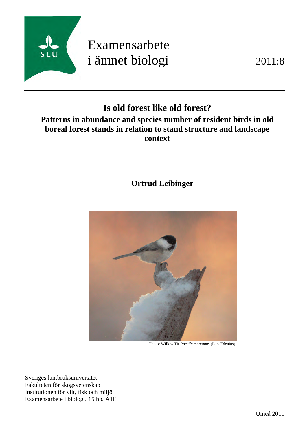

# Examensarbete i ämnet biologi 2011:8

# **Is old forest like old forest?**

# **Patterns in abundance and species number of resident birds in old boreal forest stands in relation to stand structure and landscape context**

# **Ortrud Leibinger**



Photo: Willow Tit *Poecile montanus* (Lars Edenius)

Sveriges lantbruksuniversitet Fakulteten för skogsvetenskap Institutionen för vilt, fisk och miljö Examensarbete i biologi, 15 hp, A1E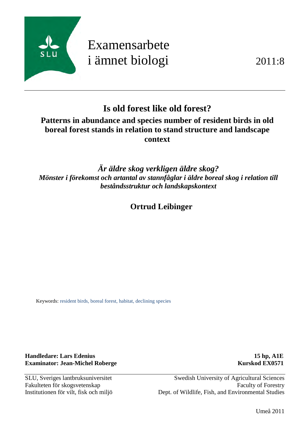

# Examensarbete i ämnet biologi 2011:8

# **Is old forest like old forest?**

# **Patterns in abundance and species number of resident birds in old boreal forest stands in relation to stand structure and landscape context**

*Är äldre skog verkligen äldre skog? Mönster i förekomst och artantal av stannfåglar i äldre boreal skog i relation till beståndsstruktur och landskapskontext* 

 **Ortrud Leibinger**

Keywords: resident birds, boreal forest, habitat, declining species

**Handledare: Lars Edenius 15 hp, A1E Examinator: Jean-Michel Roberge Kurskod EX0571** 

SLU, Sveriges lantbruksuniversitet Swedish University of Agricultural Sciences Fakulteten för skogsvetenskap Faculty of Forestry Institutionen för vilt, fisk och miljö Dept. of Wildlife, Fish, and Environmental Studies

Umeå 2011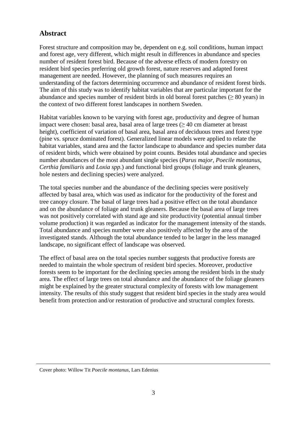# **Abstract**

Forest structure and composition may be, dependent on e.g. soil conditions, human impact and forest age, very different, which might result in differences in abundance and species number of resident forest bird. Because of the adverse effects of modern forestry on resident bird species preferring old growth forest, nature reserves and adapted forest management are needed. However, the planning of such measures requires an understanding of the factors determining occurrence and abundance of resident forest birds. The aim of this study was to identify habitat variables that are particular important for the abundance and species number of resident birds in old boreal forest patches ( $\geq 80$  years) in the context of two different forest landscapes in northern Sweden.

Habitat variables known to be varying with forest age, productivity and degree of human impact were chosen: basal area, basal area of large trees  $(\geq 40 \text{ cm}$  diameter at breast height), coefficient of variation of basal area, basal area of deciduous trees and forest type (pine vs. spruce dominated forest). Generalized linear models were applied to relate the habitat variables, stand area and the factor landscape to abundance and species number data of resident birds, which were obtained by point counts. Besides total abundance and species number abundances of the most abundant single species (*Parus major*, *Poecile montanus*, *Certhia familiaris* and *Loxia spp.*) and functional bird groups (foliage and trunk gleaners, hole nesters and declining species) were analyzed.

The total species number and the abundance of the declining species were positively affected by basal area, which was used as indicator for the productivity of the forest and tree canopy closure. The basal of large trees had a positive effect on the total abundance and on the abundance of foliage and trunk gleaners. Because the basal area of large trees was not positively correlated with stand age and site productivity (potential annual timber volume production) it was regarded as indicator for the management intensity of the stands. Total abundance and species number were also positively affected by the area of the investigated stands. Although the total abundance tended to be larger in the less managed landscape, no significant effect of landscape was observed.

The effect of basal area on the total species number suggests that productive forests are needed to maintain the whole spectrum of resident bird species. Moreover, productive forests seem to be important for the declining species among the resident birds in the study area. The effect of large trees on total abundance and the abundance of the foliage gleaners might be explained by the greater structural complexity of forests with low management intensity. The results of this study suggest that resident bird species in the study area would benefit from protection and/or restoration of productive and structural complex forests.

Cover photo: Willow Tit *Poecile montanus*, Lars Edenius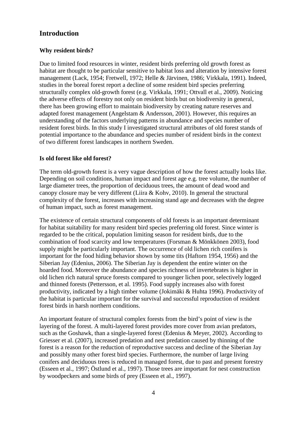## **Introduction**

#### **Why resident birds?**

Due to limited food resources in winter, resident birds preferring old growth forest as habitat are thought to be particular sensitive to habitat loss and alteration by intensive forest management (Lack, 1954; Fretwell, 1972; Helle & Järvinen, 1986; Virkkala, 1991). Indeed, studies in the boreal forest report a decline of some resident bird species preferring structurally complex old-growth forest (e.g. Virkkala, 1991; Ottvall et al., 2009). Noticing the adverse effects of forestry not only on resident birds but on biodiversity in general, there has been growing effort to maintain biodiversity by creating nature reserves and adapted forest management (Angelstam & Andersson, 2001). However, this requires an understanding of the factors underlying patterns in abundance and species number of resident forest birds. In this study I investigated structural attributes of old forest stands of potential importance to the abundance and species number of resident birds in the context of two different forest landscapes in northern Sweden.

#### **Is old forest like old forest?**

The term old-growth forest is a very vague description of how the forest actually looks like. Depending on soil conditions, human impact and forest age e.g. tree volume, the number of large diameter trees, the proportion of deciduous trees, the amount of dead wood and canopy closure may be very different (Liira & Kohv, 2010). In general the structural complexity of the forest, increases with increasing stand age and decreases with the degree of human impact, such as forest management.

The existence of certain structural components of old forests is an important determinant for habitat suitability for many resident bird species preferring old forest. Since winter is regarded to be the critical, population limiting season for resident birds, due to the combination of food scarcity and low temperatures (Forsman & Mönkkönen 2003), food supply might be particularly important. The occurrence of old lichen rich conifers is important for the food hiding behavior shown by some tits (Haftorn 1954, 1956) and the Siberian Jay (Edenius, 2006). The Siberian Jay is dependent the entire winter on the hoarded food. Moreover the abundance and species richness of invertebrates is higher in old lichen rich natural spruce forests compared to younger lichen poor, selectively logged and thinned forests (Pettersson, et al. 1995). Food supply increases also with forest productivity, indicated by a high timber volume (Jokimäki & Huhta 1996). Productivity of the habitat is particular important for the survival and successful reproduction of resident forest birds in harsh northern conditions.

An important feature of structural complex forests from the bird's point of view is the layering of the forest. A multi-layered forest provides more cover from avian predators, such as the Goshawk, than a single-layered forest (Edenius & Meyer, 2002). According to Griesser et al. (2007), increased predation and nest predation caused by thinning of the forest is a reason for the reduction of reproductive success and decline of the Siberian Jay and possibly many other forest bird species. Furthermore, the number of large living conifers and deciduous trees is reduced in managed forest, due to past and present forestry (Esseen et al., 1997; Östlund et al., 1997). Those trees are important for nest construction by woodpeckers and some birds of prey (Esseen et al., 1997).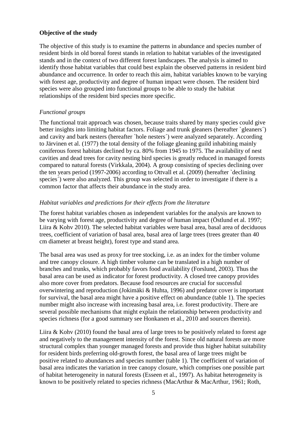#### **Objective of the study**

The objective of this study is to examine the patterns in abundance and species number of resident birds in old boreal forest stands in relation to habitat variables of the investigated stands and in the context of two different forest landscapes. The analysis is aimed to identify those habitat variables that could best explain the observed patterns in resident bird abundance and occurrence. In order to reach this aim, habitat variables known to be varying with forest age, productivity and degree of human impact were chosen. The resident bird species were also grouped into functional groups to be able to study the habitat relationships of the resident bird species more specific.

#### *Functional groups*

The functional trait approach was chosen, because traits shared by many species could give better insights into limiting habitat factors. Foliage and trunk gleaners (hereafter `gleaners´) and cavity and bark nesters (hereafter `hole nesters´) were analyzed separately. According to Järvinen et al. (1977) the total density of the foliage gleaning guild inhabiting mainly coniferous forest habitats declined by ca. 80% from 1945 to 1975. The availability of nest cavities and dead trees for cavity nesting bird species is greatly reduced in managed forests compared to natural forests (Virkkala, 2004). A group consisting of species declining over the ten years period (1997-2006) according to Ottvall et al. (2009) (hereafter `declining species´) were also analyzed. This group was selected in order to investigate if there is a common factor that affects their abundance in the study area.

#### *Habitat variables and predictions for their effects from the literature*

The forest habitat variables chosen as independent variables for the analysis are known to be varying with forest age, productivity and degree of human impact (Östlund et al. 1997; Liira & Kohv 2010). The selected habitat variables were basal area, basal area of deciduous trees, coefficient of variation of basal area, basal area of large trees (trees greater than 40 cm diameter at breast height), forest type and stand area.

The basal area was used as proxy for tree stocking, i.e. as an index for the timber volume and tree canopy closure. A high timber volume can be translated in a high number of branches and trunks, which probably favors food availability (Forslund, 2003). Thus the basal area can be used as indicator for forest productivity. A closed tree canopy provides also more cover from predators. Because food resources are crucial for successful overwintering and reproduction (Jokimäki & Huhta, 1996) and predator cover is important for survival, the basal area might have a positive effect on abundance (table 1). The species number might also increase with increasing basal area, i.e. forest productivity. There are several possible mechanisms that might explain the relationship between productivity and species richness (for a good summary see Honkanen et al., 2010 and sources therein).

Liira  $\&$  Kohv (2010) found the basal area of large trees to be positively related to forest age and negatively to the management intensity of the forest. Since old natural forests are more structural complex than younger managed forests and provide thus higher habitat suitability for resident birds preferring old-growth forest, the basal area of large trees might be positive related to abundances and species number (table 1). The coefficient of variation of basal area indicates the variation in tree canopy closure, which comprises one possible part of habitat heterogeneity in natural forests (Esseen et al., 1997). As habitat heterogeneity is known to be positively related to species richness (MacArthur & MacArthur, 1961; Roth,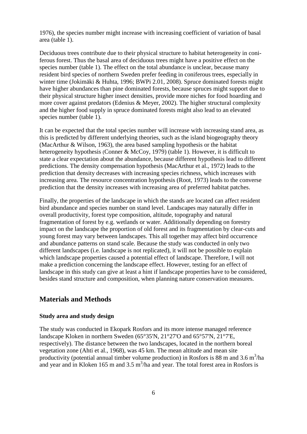1976), the species number might increase with increasing coefficient of variation of basal area (table 1).

Deciduous trees contribute due to their physical structure to habitat heterogeneity in coniferous forest. Thus the basal area of deciduous trees might have a positive effect on the species number (table 1). The effect on the total abundance is unclear, because many resident bird species of northern Sweden prefer feeding in coniferous trees, especially in winter time (Jokimäki & Huhta, 1996; BWPi 2.01, 2008). Spruce dominated forests might have higher abundances than pine dominated forests, because spruces might support due to their physical structure higher insect densities, provide more niches for food hoarding and more cover against predators (Edenius & Meyer, 2002). The higher structural complexity and the higher food supply in spruce dominated forests might also lead to an elevated species number (table 1).

It can be expected that the total species number will increase with increasing stand area, as this is predicted by different underlying theories, such as the island biogeography theory (MacArthur & Wilson, 1963), the area based sampling hypothesis or the habitat heterogeneity hypothesis (Conner & McCoy, 1979) (table 1). However, it is difficult to state a clear expectation about the abundance, because different hypothesis lead to different predictions. The density compensation hypothesis (MacArthur et al., 1972) leads to the prediction that density decreases with increasing species richness, which increases with increasing area. The resource concentration hypothesis (Root, 1973) leads to the converse prediction that the density increases with increasing area of preferred habitat patches.

Finally, the properties of the landscape in which the stands are located can affect resident bird abundance and species number on stand level. Landscapes may naturally differ in overall productivity, forest type composition, altitude, topography and natural fragmentation of forest by e.g. wetlands or water. Additionally depending on forestry impact on the landscape the proportion of old forest and its fragmentation by clear-cuts and young forest may vary between landscapes. This all together may affect bird occurrence and abundance patterns on stand scale. Because the study was conducted in only two different landscapes (i.e. landscape is not replicated), it will not be possible to explain which landscape properties caused a potential effect of landscape. Therefore, I will not make a prediction concerning the landscape effect. However, testing for an effect of landscape in this study can give at least a hint if landscape properties have to be considered, besides stand structure and composition, when planning nature conservation measures.

## **Materials and Methods**

#### **Study area and study design**

The study was conducted in Ekopark Rosfors and its more intense managed reference landscape Kloken in northern Sweden (65°35'N, 21°27'O and 65°57'N, 21°7'E, respectively). The distance between the two landscapes, located in the northern boreal vegetation zone (Ahti et al., 1968), was 45 km. The mean altitude and mean site productivity (potential annual timber volume production) in Rosfors is 88 m and 3.6 m<sup>3</sup>/ha and year and in Kloken 165 m and  $3.5 \text{ m}^3/\text{ha}$  and year. The total forest area in Rosfors is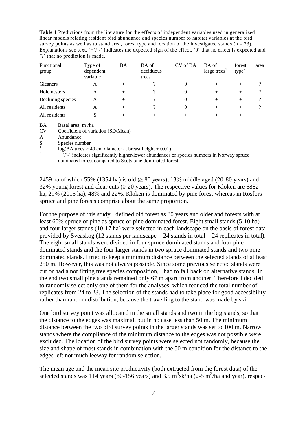**Table 1** Predictions from the literature for the effects of independent variables used in generalized linear models relating resident bird abundance and species number to habitat variables at the bird survey points as well as to stand area, forest type and location of the investigated stands ( $n = 23$ ). Explanations see text. `+'/`-' indicates the expected sign of the effect, `0' that no effect is expected and `?´ that no prediction is made.

| Functional<br>group | Type of<br>dependent<br>variable | BA   | BA of<br>deciduous<br>trees | CV of BA | BA of<br>large trees <sup>1</sup> | forest<br>$type^2$ | area |
|---------------------|----------------------------------|------|-----------------------------|----------|-----------------------------------|--------------------|------|
| <b>Gleaners</b>     | A                                |      |                             |          | $^{+}$                            |                    |      |
| Hole nesters        | A                                |      |                             |          | $^{+}$                            | $^{+}$             |      |
| Declining species   | А                                | $^+$ |                             |          | $^{+}$                            | $^{+}$             |      |
| All residents       | A                                |      |                             |          | +                                 |                    |      |
| All residents       | O                                |      |                             |          |                                   |                    |      |

 $BA$  Basal area, m<sup>2</sup>/ha

CV Coefficient of variation (SD/Mean)

A Abundance

S Species number<br>  $\log(BA \text{ trees} > 40 \text{ cm diameter at breast height} + 0.01)$ 

` $+\gamma$ <sup>-</sup>´ indicates significantly higher/lower abundances or species numbers in Norway spruce dominated forest compared to Scots pine dominated forest

2459 ha of which 55% (1354 ha) is old  $(≥ 80 \text{ years})$ , 13% middle aged (20-80 years) and 32% young forest and clear cuts (0-20 years). The respective values for Kloken are 6882 ha, 29% (2015 ha), 48% and 22%. Kloken is dominated by pine forest whereas in Rosfors spruce and pine forests comprise about the same proportion.

For the purpose of this study I defined old forest as 80 years and older and forests with at least 60% spruce or pine as spruce or pine dominated forest. Eight small stands (5-10 ha) and four larger stands (10-17 ha) were selected in each landscape on the basis of forest data provided by Sveaskog (12 stands per landscape  $= 24$  stands in total  $= 24$  replicates in total). The eight small stands were divided in four spruce dominated stands and four pine dominated stands and the four larger stands in two spruce dominated stands and two pine dominated stands. I tried to keep a minimum distance between the selected stands of at least 250 m. However, this was not always possible. Since some previous selected stands were cut or had a not fitting tree species composition, I had to fall back on alternative stands. In the end two small pine stands remained only 67 m apart from another. Therefore I decided to randomly select only one of them for the analyses, which reduced the total number of replicates from 24 to 23. The selection of the stands had to take place for good accessibility rather than random distribution, because the travelling to the stand was made by ski.

One bird survey point was allocated in the small stands and two in the big stands, so that the distance to the edges was maximal, but in no case less than 50 m. The minimum distance between the two bird survey points in the larger stands was set to 100 m. Narrow stands where the compliance of the minimum distance to the edges was not possible were excluded. The location of the bird survey points were selected not randomly, because the size and shape of most stands in combination with the 50 m condition for the distance to the edges left not much leeway for random selection.

The mean age and the mean site productivity (both extracted from the forest data) of the selected stands was 114 years (80-156 years) and 3.5  $\text{m}^3$ sk/ha (2-5  $\text{m}^3$ /ha and year), respec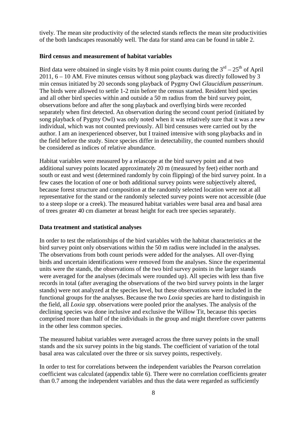tively. The mean site productivity of the selected stands reflects the mean site productivities of the both landscapes reasonably well. The data for stand area can be found in table 2.

#### **Bird census and measurement of habitat variables**

Bird data were obtained in single visits by 8 min point counts during the  $3<sup>rd</sup> - 25<sup>th</sup>$  of April 2011, 6 – 10 AM. Five minutes census without song playback was directly followed by 3 min census initiated by 20 seconds song playback of Pygmy Owl *Glaucidium passerinum*. The birds were allowed to settle 1-2 min before the census started. Resident bird species and all other bird species within and outside a 50 m radius from the bird survey point, observations before and after the song playback and overflying birds were recorded separately when first detected. An observation during the second count period (initiated by song playback of Pygmy Owl) was only noted when it was relatively sure that it was a new individual, which was not counted previously. All bird censuses were carried out by the author. I am an inexperienced observer, but I trained intensive with song playbacks and in the field before the study. Since species differ in detectability, the counted numbers should be considered as indices of relative abundance.

Habitat variables were measured by a relascope at the bird survey point and at two additional survey points located approximately 20 m (measured by feet) either north and south or east and west (determined randomly by coin flipping) of the bird survey point. In a few cases the location of one or both additional survey points were subjectively altered, because forest structure and composition at the randomly selected location were not at all representative for the stand or the randomly selected survey points were not accessible (due to a steep slope or a creek). The measured habitat variables were basal area and basal area of trees greater 40 cm diameter at breast height for each tree species separately.

#### **Data treatment and statistical analyses**

In order to test the relationships of the bird variables with the habitat characteristics at the bird survey point only observations within the 50 m radius were included in the analyses. The observations from both count periods were added for the analyses. All over-flying birds and uncertain identifications were removed from the analyses. Since the experimental units were the stands, the observations of the two bird survey points in the larger stands were averaged for the analyses (decimals were rounded up). All species with less than five records in total (after averaging the observations of the two bird survey points in the larger stands) were not analyzed at the species level, but these observations were included in the functional groups for the analyses. Because the two *Loxia* species are hard to distinguish in the field, all *Loxia spp.* observations were pooled prior the analyses. The analysis of the declining species was done inclusive and exclusive the Willow Tit, because this species comprised more than half of the individuals in the group and might therefore cover patterns in the other less common species.

The measured habitat variables were averaged across the three survey points in the small stands and the six survey points in the big stands. The coefficient of variation of the total basal area was calculated over the three or six survey points, respectively.

In order to test for correlations between the independent variables the Pearson correlation coefficient was calculated (appendix table 6). There were no correlation coefficients greater than 0.7 among the independent variables and thus the data were regarded as sufficiently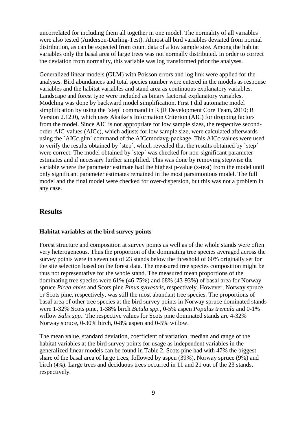uncorrelated for including them all together in one model. The normality of all variables were also tested (Anderson-Darling-Test). Almost all bird variables deviated from normal distribution, as can be expected from count data of a low sample size. Among the habitat variables only the basal area of large trees was not normally distributed. In order to correct the deviation from normality, this variable was log transformed prior the analyses.

Generalized linear models (GLM) with Poisson errors and log link were applied for the analyses. Bird abundances and total species number were entered in the models as response variables and the habitat variables and stand area as continuous explanatory variables. Landscape and forest type were included as binary factorial explanatory variables. Modeling was done by backward model simplification. First I did automatic model simplification by using the `step´ command in R (R Development Core Team, 2010; R Version 2.12.0), which uses Akaike's Information Criterion (AIC) for dropping factors from the model. Since AIC is not appropriate for low sample sizes, the respective secondorder AIC-values (AICc), which adjusts for low sample size, were calculated afterwards using the `AICc.glm´ command of the AICcmodavg-package. This AICc-values were used to verify the results obtained by `step´, which revealed that the results obtained by `step´ were correct. The model obtained by `step´ was checked for non-significant parameter estimates and if necessary further simplified. This was done by removing stepwise the variable where the parameter estimate had the highest p-value (z-test) from the model until only significant parameter estimates remained in the most parsimonious model. The full model and the final model were checked for over-dispersion, but this was not a problem in any case.

## **Results**

#### **Habitat variables at the bird survey points**

Forest structure and composition at survey points as well as of the whole stands were often very heterogeneous. Thus the proportion of the dominating tree species averaged across the survey points were in seven out of 23 stands below the threshold of 60% originally set for the site selection based on the forest data. The measured tree species composition might be thus not representative for the whole stand. The measured mean proportions of the dominating tree species were 61% (46-75%) and 68% (43-93%) of basal area for Norway spruce *Picea abies* and Scots pine *Pinus sylvestris*, respectively. However, Norway spruce or Scots pine, respectively, was still the most abundant tree species. The proportions of basal area of other tree species at the bird survey points in Norway spruce dominated stands were 1-32% Scots pine, 1-38% birch *Betula spp.*, 0-5% aspen *Populus tremula* and 0-1% willow *Salix spp.*. The respective values for Scots pine dominated stands are 4-32% Norway spruce, 0-30% birch, 0-8% aspen and 0-5% willow.

The mean value, standard deviation, coefficient of variation, median and range of the habitat variables at the bird survey points for usage as independent variables in the generalized linear models can be found in Table 2. Scots pine had with 47% the biggest share of the basal area of large trees, followed by aspen (39%), Norway spruce (9%) and birch (4%). Large trees and deciduous trees occurred in 11 and 21 out of the 23 stands, respectively.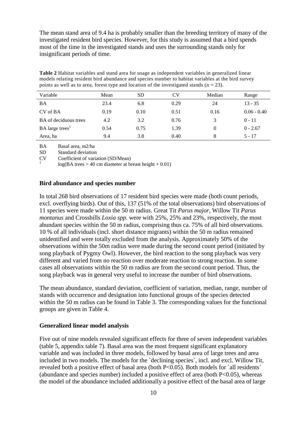The mean stand area of 9.4 ha is probably smaller than the breeding territory of many of the investigated resident bird species. However, for this study is assumed that a bird spends most of the time in the investigated stands and uses the surrounding stands only for insignificant periods of time.

**Table 2** Habitat variables and stand area for usage as independent variables in generalized linear models relating resident bird abundance and species number to habitat variables at the bird survey points as well as to area, forest type and location of the investigated stands ( $n = 23$ ).

| Variable                     | Mean | SD   | CV   | Median | Range         |
|------------------------------|------|------|------|--------|---------------|
| <b>BA</b>                    | 23.4 | 6.8  | 0.29 | 24     | $13 - 35$     |
| CV of BA                     | 0.19 | 0.10 | 0.51 | 0.16   | $0.06 - 0.40$ |
| <b>BA</b> of deciduous trees | 4.2  | 3.2  | 0.76 |        | $0 - 11$      |
| BA large trees <sup>1</sup>  | 0.54 | 0.75 | 1.39 |        | $0 - 2.67$    |
| Area, ha                     | 9.4  | 3.8  | 0.40 | 8      | $5 - 17$      |

BA Basal area, m2/ha<br>SD Standard deviation

Standard deviation

CV Coefficient of variation (SD/Mean) <sup>1</sup>

log(BA trees > 40 cm diameter at breast height + 0.01)

#### **Bird abundance and species number**

In total 268 bird observations of 17 resident bird species were made (both count periods, excl. overflying birds). Out of this, 137 (51% of the total observations) bird observations of 11 species were made within the 50 m radius. Great Tit *Parus major*, Willow Tit *Parus montanus* and Crossbills *Loxia spp.* were with 25%, 25% and 23%, respectively, the most abundant species within the 50 m radius, comprising thus ca. 75% of all bird observations. 10 % of all individuals (incl. short distance migrants) within the 50 m radius remained unidentified and were totally excluded from the analysis. Approximately 50% of the observations within the 50m radius were made during the second count period (initiated by song playback of Pygmy Owl). However, the bird reaction to the song playback was very different and varied from no reaction over moderate reaction to strong reaction. In some cases all observations within the 50 m radius are from the second count period. Thus, the song playback was in general very useful to increase the number of bird observations.

The mean abundance, standard deviation, coefficient of variation, median, range, number of stands with occurrence and designation into functional groups of the species detected within the 50 m radius can be found in Table 3. The corresponding values for the functional groups are given in Table 4.

#### **Generalized linear model analysis**

Five out of nine models revealed significant effects for three of seven independent variables (table 5, appendix table 7). Basal area was the most frequent significant explanatory variable and was included in three models, followed by basal area of large trees and area included in two models. The models for the `declining species´, incl. and excl. Willow Tit, revealed both a positive effect of basal area (both P<0.05). Both models for `all residents´ (abundance and species number) included a positive effect of area (both  $P<0.05$ ), whereas the model of the abundance included additionally a positive effect of the basal area of large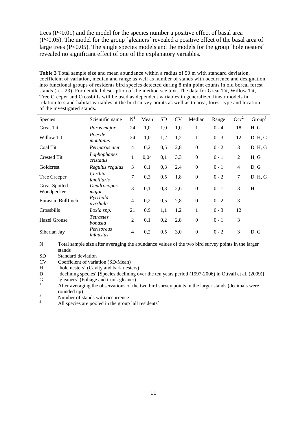trees  $(P<0.01)$  and the model for the species number a positive effect of basal area (P<0.05). The model for the group `gleaners´ revealed a positive effect of the basal area of large trees (P<0.05). The single species models and the models for the group `hole nesters´ revealed no significant effect of one of the explanatory variables.

**Table 3** Total sample size and mean abundance within a radius of 50 m with standard deviation, coefficient of variation, median and range as well as number of stands with occurrence and designation into functional groups of residents bird species detected during 8 min point counts in old boreal forest stands ( $n = 23$ ). For detailed description of the method see text. The data for Great Tit, Willow Tit, Tree Creeper and Crossbills will be used as dependent variables in generalized linear models in relation to stand habitat variables at the bird survey points as well as to area, forest type and location of the investigated stands.

| Species                            | Scientific name             | N <sup>1</sup> | Mean | SD  | <b>CV</b> | Median           | Range   | Occ <sup>2</sup> | Group <sup>3</sup> |
|------------------------------------|-----------------------------|----------------|------|-----|-----------|------------------|---------|------------------|--------------------|
| <b>Great Tit</b>                   | Parus major                 | 24             | 1,0  | 1,0 | 1,0       | 1                | $0 - 4$ | 18               | H, G               |
| Willow Tit                         | Poecile<br>montanus         | 24             | 1,0  | 1,2 | 1,2       | $\mathbf{1}$     | $0 - 3$ | 12               | D, H, G            |
| Coal Tit                           | Periparus ater              | $\overline{4}$ | 0,2  | 0,5 | 2,8       | $\boldsymbol{0}$ | $0 - 2$ | 3                | D, H, G            |
| <b>Crested Tit</b>                 | Lophophanes<br>cristatus    | $\mathbf{1}$   | 0,04 | 0,1 | 3,3       | $\boldsymbol{0}$ | $0 - 1$ | 2                | H, G               |
| Goldcrest                          | Regulus regulus             | 3              | 0,1  | 0,3 | 2,4       | $\boldsymbol{0}$ | $0 - 1$ | $\overline{4}$   | D, G               |
| Tree Creeper                       | Certhia<br>familiaris       | 7              | 0,3  | 0,5 | 1,8       | $\boldsymbol{0}$ | $0 - 2$ | $\tau$           | D, H, G            |
| <b>Great Spotted</b><br>Woodpecker | Dendrocopus<br>major        | 3              | 0,1  | 0,3 | 2,6       | $\boldsymbol{0}$ | $0 - 1$ | 3                | H                  |
| Eurasian Bullfinch                 | Pyrrhula<br>pyrrhula        | $\overline{4}$ | 0,2  | 0,5 | 2,8       | $\boldsymbol{0}$ | $0 - 2$ | 3                |                    |
| Crossbills                         | Loxia spp.                  | 21             | 0,9  | 1,1 | 1,2       | $\mathbf{1}$     | $0 - 3$ | 12               |                    |
| <b>Hazel Grouse</b>                | <i>Tetrastes</i><br>bonasia | 2              | 0,1  | 0,2 | 2,8       | $\boldsymbol{0}$ | $0 - 1$ | 3                |                    |
| Siberian Jay                       | Perisoreus<br>infaustus     | 4              | 0,2  | 0,5 | 3,0       | $\boldsymbol{0}$ | $0 - 2$ | 3                | D, G               |

N Total sample size after averaging the abundance values of the two bird survey points in the larger stands

SD Standard deviation<br>CV Coefficient of varia

CV Coefficient of variation (SD/Mean)<br>H hole nesters' (Cavity and bark nest

H `hole nesters´ (Cavity and bark nesters)<br>D `declining species´ (Species declining o

D cdeclining species' [Species declining over the ten years period (1997-2006) in Ottvall et al. (2009)]<br>G gleaners' (Foliage and trunk gleaner)

 $\frac{1}{1}$  After averaging the observations of the two bird survey points in the larger stands (decimals were rounded up)

 $\frac{2}{3}$  Number of stands with occurrence

All species are pooled in the group `all residents´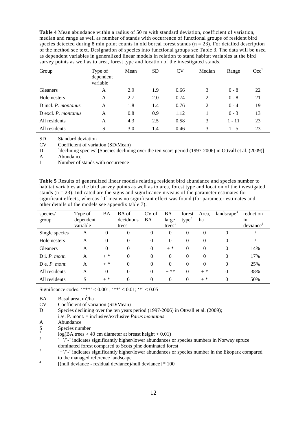**Table 4** Mean abundance within a radius of 50 m with standard deviation, coefficient of variation, median and range as well as number of stands with occurrence of functional groups of resident bird species detected during 8 min point counts in old boreal forest stands  $(n = 23)$ . For detailed description of the method see text. Designation of species into functional groups see Table 3. The data will be used as dependent variables in generalized linear models in relation to stand habitat variables at the bird survey points as well as to area, forest type and location of the investigated stands.

| Group               | Type of<br>dependent<br>variable | Mean | <b>SD</b> | CV   | Median | Range    | Occ <sup>1</sup> |
|---------------------|----------------------------------|------|-----------|------|--------|----------|------------------|
| <b>Gleaners</b>     | A                                | 2.9  | 1.9       | 0.66 | 3      | $0 - 8$  | 22               |
| Hole nesters        | A                                | 2.7  | 2.0       | 0.74 | 2      | $0 - 8$  | 21               |
| D incl. P. montanus | A                                | 1.8  | 1.4       | 0.76 | 2      | $0 - 4$  | 19               |
| D excl. P. montanus | A                                | 0.8  | 0.9       | 1.12 |        | $0 - 3$  | 13               |
| All residents       | A                                | 4.3  | 2.5       | 0.58 | 3      | $1 - 11$ | 23               |
| All residents       | S                                | 3.0  | 1.4       | 0.46 | 3      | $1 - 5$  | 23               |

SD Standard deviation<br>CV Coefficient of varia

CV Coefficient of variation (SD/Mean)<br>D declining species (Species declining

D `declining species´ [Species declining over the ten years period (1997-2006) in Ottvall et al. (2009)]<br>A Abundance

A Abundance

Number of stands with occurrence

**Table 5** Results of generalized linear models relating resident bird abundance and species number to habitat variables at the bird survey points as well as to area, forest type and location of the investigated stands ( $n = 23$ ). Indicated are the signs and significance niveaus of the parameter estimates for significant effects, whereas `0´ means no significant effect was found (for parameter estimates and other details of the models see appendix table 7).

| species/               | Type of   | BA       | BA of     | CV of    | BA       | forest            | Area,    | landscape <sup>3</sup> | reduction |
|------------------------|-----------|----------|-----------|----------|----------|-------------------|----------|------------------------|-----------|
| group                  | dependent |          | deciduous | BA       | large    | type <sup>2</sup> | ha       |                        | 1n        |
|                        | variable  |          | trees     |          | trees    |                   |          |                        | deviance  |
| Single species         | А         | 0        | $\Omega$  | $\Omega$ | $\Omega$ | $\Omega$          | $\Omega$ | $\Omega$               |           |
| Hole nesters           | A         | $\theta$ | $\theta$  | $\Omega$ | $\Omega$ | $\theta$          | $\Omega$ | $\Omega$               |           |
| Gleaners               | A         | $\theta$ | 0         | $\Omega$ | $+$ *    | $\theta$          | $\Omega$ | $\Omega$               | 14%       |
| $D$ i. <i>P. mont.</i> | A         | $+$ *    | $\theta$  | $\Omega$ | $\Omega$ | $\theta$          | $\Omega$ | $\Omega$               | 17%       |
| $D e. P.$ mont.        | A         | $+$ *    | $\theta$  | $\Omega$ | $\Omega$ | $\theta$          | $\Omega$ | $\Omega$               | 25%       |
| All residents          | A         | $\theta$ | $\Omega$  | $\Omega$ | $+$ **   | $\Omega$          | $+$ *    | $\Omega$               | 38%       |
| All residents          | S         | $+$ *    | $\theta$  | $\Omega$ | $\Omega$ | $\Omega$          | $+$ *    | 0                      | 50%       |

Significance codes: '\*\*\*' < 0.001; '\*\*' < 0.01; '\*' < 0.05

 $BA$  Basal area, m<sup>2</sup>/ha

CV Coefficient of variation (SD/Mean)

D Species declining over the ten years period (1997-2006) in Ottvall et al. (2009);

- i./e. P. mont. = inclusive/exclusive *Parus montanus*
- A Abundance
- S Species number
- $\log(BA \text{ trees} > 40 \text{ cm diameter at breast height} + 0.01)$
- `+´/`-´ indicates significantly higher/lower abundances or species numbers in Norway spruce dominated forest compared to Scots pine dominated forest
- ` $+\frac{1}{\sqrt{2}}$  indicates significantly higher/lower abundances or species number in the Ekopark compared to the managed reference landscape

<sup>4</sup>  $[(\text{null} \text{ deviance} - \text{residual} \text{ deviance})/\text{null} \text{ deviance}] * 100$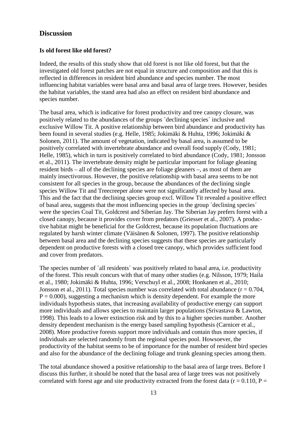## **Discussion**

#### **Is old forest like old forest?**

Indeed, the results of this study show that old forest is not like old forest, but that the investigated old forest patches are not equal in structure and composition and that this is reflected in differences in resident bird abundance and species number. The most influencing habitat variables were basal area and basal area of large trees. However, besides the habitat variables, the stand area had also an effect on resident bird abundance and species number.

The basal area, which is indicative for forest productivity and tree canopy closure, was positively related to the abundances of the groups `declining species´ inclusive and exclusive Willow Tit. A positive relationship between bird abundance and productivity has been found in several studies (e.g. Helle, 1985; Jokimäki & Huhta, 1996; Jokimäki & Solonen, 2011). The amount of vegetation, indicated by basal area, is assumed to be positively correlated with invertebrate abundance and overall food supply (Cody, 1981; Helle, 1985), which in turn is positively correlated to bird abundance (Cody, 1981; Jonsson et al., 2011). The invertebrate density might be particular important for foliage gleaning resident birds – all of the declining species are foliage gleaners –, as most of them are mainly insectivorous. However, the positive relationship with basal area seems to be not consistent for all species in the group, because the abundances of the declining single species Willow Tit and Treecreeper alone were not significantly affected by basal area. This and the fact that the declining species group excl. Willow Tit revealed a positive effect of basal area, suggests that the most influencing species in the group `declining species´ were the species Coal Tit, Goldcrest and Siberian Jay. The Siberian Jay prefers forest with a closed canopy, because it provides cover from predators (Griesser et al., 2007). A productive habitat might be beneficial for the Goldcrest, because its population fluctuations are regulated by harsh winter climate (Väisänen & Solonen, 1997). The positive relationship between basal area and the declining species suggests that these species are particularly dependent on productive forests with a closed tree canopy, which provides sufficient food and cover from predators.

The species number of `all residents´ was positively related to basal area, i.e. productivity of the forest. This result concurs with that of many other studies (e.g. Nilsson, 1979; Haila et al., 1980; Jokimäki & Huhta, 1996; Verschuyl et al., 2008; Honkanen et al., 2010; Jonsson et al., 2011). Total species number was correlated with total abundance  $(r = 0.704,$  $P = 0.000$ , suggesting a mechanism which is density dependent. For example the more individuals hypothesis states, that increasing availability of productive energy can support more individuals and allows species to maintain larger populations (Srivastava & Lawton, 1998). This leads to a lower extinction risk and by this to a higher species number. Another density dependent mechanism is the energy based sampling hypothesis (Carnicer et al., 2008). More productive forests support more individuals and contain thus more species, if individuals are selected randomly from the regional species pool. Howsoever, the productivity of the habitat seems to be of importance for the number of resident bird species and also for the abundance of the declining foliage and trunk gleaning species among them.

The total abundance showed a positive relationship to the basal area of large trees. Before I discuss this further, it should be noted that the basal area of large trees was not positively correlated with forest age and site productivity extracted from the forest data ( $r = 0.110$ ,  $P =$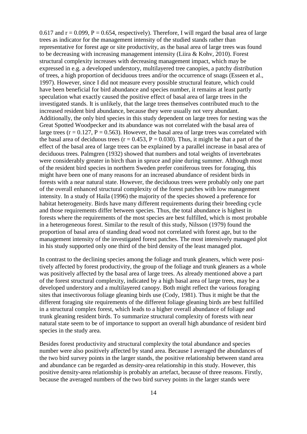0.617 and  $r = 0.099$ ,  $P = 0.654$ , respectively). Therefore, I will regard the basal area of large trees as indicator for the management intensity of the studied stands rather than representative for forest age or site productivity, as the basal area of large trees was found to be decreasing with increasing management intensity (Liira & Kohv, 2010). Forest structural complexity increases with decreasing management impact, which may be expressed in e.g. a developed understory, multilayered tree canopies, a patchy distribution of trees, a high proportion of deciduous trees and/or the occurrence of snags (Esseen et al., 1997). However, since I did not measure every possible structural feature, which could have been beneficial for bird abundance and species number, it remains at least partly speculation what exactly caused the positive effect of basal area of large trees in the investigated stands. It is unlikely, that the large trees themselves contributed much to the increased resident bird abundance, because they were usually not very abundant. Additionally, the only bird species in this study dependent on large trees for nesting was the Great Spotted Woodpecker and its abundance was not correlated with the basal area of large trees ( $r = 0.127$ ,  $P = 0.563$ ). However, the basal area of large trees was correlated with the basal area of deciduous trees ( $r = 0.453$ ,  $P = 0.030$ ). Thus, it might be that a part of the effect of the basal area of large trees can be explained by a parallel increase in basal area of deciduous trees. Palmgren (1932) showed that numbers and total weights of invertebrates were considerably greater in birch than in spruce and pine during summer. Although most of the resident bird species in northern Sweden prefer coniferous trees for foraging, this might have been one of many reasons for an increased abundance of resident birds in forests with a near natural state. However, the deciduous trees were probably only one part of the overall enhanced structural complexity of the forest patches with low management intensity. In a study of Haila (1996) the majority of the species showed a preference for habitat heterogeneity. Birds have many different requirements during their breeding cycle and those requirements differ between species. Thus, the total abundance is highest in forests where the requirements of the most species are best fulfilled, which is most probable in a heterogeneous forest. Similar to the result of this study, Nilsson (1979) found the proportion of basal area of standing dead wood not correlated with forest age, but to the management intensity of the investigated forest patches. The most intensively managed plot in his study supported only one third of the bird density of the least managed plot.

In contrast to the declining species among the foliage and trunk gleaners, which were positively affected by forest productivity, the group of the foliage and trunk gleaners as a whole was positively affected by the basal area of large trees. As already mentioned above a part of the forest structural complexity, indicated by a high basal area of large trees, may be a developed understory and a multilayered canopy. Both might reflect the various foraging sites that insectivorous foliage gleaning birds use (Cody, 1981). Thus it might be that the different foraging site requirements of the different foliage gleaning birds are best fulfilled in a structural complex forest, which leads to a higher overall abundance of foliage and trunk gleaning resident birds. To summarize structural complexity of forests with near natural state seem to be of importance to support an overall high abundance of resident bird species in the study area.

Besides forest productivity and structural complexity the total abundance and species number were also positively affected by stand area. Because I averaged the abundances of the two bird survey points in the larger stands, the positive relationship between stand area and abundance can be regarded as density-area relationship in this study. However, this positive density-area relationship is probably an artefact, because of three reasons. Firstly, because the averaged numbers of the two bird survey points in the larger stands were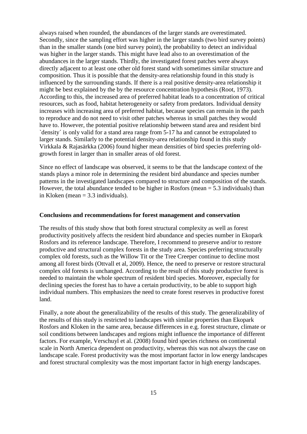always raised when rounded, the abundances of the larger stands are overestimated. Secondly, since the sampling effort was higher in the larger stands (two bird survey points) than in the smaller stands (one bird survey point), the probability to detect an individual was higher in the larger stands. This might have lead also to an overestimation of the abundances in the larger stands. Thirdly, the investigated forest patches were always directly adjacent to at least one other old forest stand with sometimes similar structure and composition. Thus it is possible that the density-area relationship found in this study is influenced by the surrounding stands. If there is a real positive density-area relationship it might be best explained by the by the resource concentration hypothesis (Root, 1973). According to this, the increased area of preferred habitat leads to a concentration of critical resources, such as food, habitat heterogeneity or safety from predators. Individual density increases with increasing area of preferred habitat, because species can remain in the patch to reproduce and do not need to visit other patches whereas in small patches they would have to. However, the potential positive relationship between stand area and resident bird `density´ is only valid for a stand area range from 5-17 ha and cannot be extrapolated to larger stands. Similarly to the potential density-area relationship found in this study Virkkala & Rajasärkka (2006) found higher mean densities of bird species preferring oldgrowth forest in larger than in smaller areas of old forest.

Since no effect of landscape was observed, it seems to be that the landscape context of the stands plays a minor role in determining the resident bird abundance and species number patterns in the investigated landscapes compared to structure and composition of the stands. However, the total abundance tended to be higher in Rosfors (mean = 5.3 individuals) than in Kloken (mean = 3.3 individuals).

#### **Conclusions and recommendations for forest management and conservation**

The results of this study show that both forest structural complexity as well as forest productivity positively affects the resident bird abundance and species number in Ekopark Rosfors and its reference landscape. Therefore, I recommend to preserve and/or to restore productive and structural complex forests in the study area. Species preferring structurally complex old forests, such as the Willow Tit or the Tree Creeper continue to decline most among all forest birds (Ottvall et al, 2009). Hence, the need to preserve or restore structural complex old forests is unchanged. According to the result of this study productive forest is needed to maintain the whole spectrum of resident bird species. Moreover, especially for declining species the forest has to have a certain productivity, to be able to support high individual numbers. This emphasizes the need to create forest reserves in productive forest land.

Finally, a note about the generalizability of the results of this study. The generalizability of the results of this study is restricted to landscapes with similar properties than Ekopark Rosfors and Kloken in the same area, because differences in e.g. forest structure, climate or soil conditions between landscapes and regions might influence the importance of different factors. For example, Verschuyl et al. (2008) found bird species richness on continental scale in North America dependent on productivity, whereas this was not always the case on landscape scale. Forest productivity was the most important factor in low energy landscapes and forest structural complexity was the most important factor in high energy landscapes.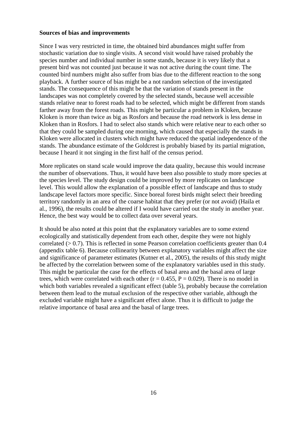#### **Sources of bias and improvements**

Since I was very restricted in time, the obtained bird abundances might suffer from stochastic variation due to single visits. A second visit would have raised probably the species number and individual number in some stands, because it is very likely that a present bird was not counted just because it was not active during the count time. The counted bird numbers might also suffer from bias due to the different reaction to the song playback. A further source of bias might be a not random selection of the investigated stands. The consequence of this might be that the variation of stands present in the landscapes was not completely covered by the selected stands, because well accessible stands relative near to forest roads had to be selected, which might be different from stands farther away from the forest roads. This might be particular a problem in Kloken, because Kloken is more than twice as big as Rosfors and because the road network is less dense in Kloken than in Rosfors. I had to select also stands which were relative near to each other so that they could be sampled during one morning, which caused that especially the stands in Kloken were allocated in clusters which might have reduced the spatial independence of the stands. The abundance estimate of the Goldcrest is probably biased by its partial migration, because I heard it not singing in the first half of the census period.

More replicates on stand scale would improve the data quality, because this would increase the number of observations. Thus, it would have been also possible to study more species at the species level. The study design could be improved by more replicates on landscape level. This would allow the explanation of a possible effect of landscape and thus to study landscape level factors more specific. Since boreal forest birds might select their breeding territory randomly in an area of the coarse habitat that they prefer (or not avoid) (Haila et al., 1996), the results could be altered if I would have carried out the study in another year. Hence, the best way would be to collect data over several years.

It should be also noted at this point that the explanatory variables are to some extend ecologically and statistically dependent from each other, despite they were not highly correlated  $(> 0.7)$ . This is reflected in some Pearson correlation coefficients greater than 0.4 (appendix table 6). Because collinearity between explanatory variables might affect the size and significance of parameter estimates (Kutner et al., 2005), the results of this study might be affected by the correlation between some of the explanatory variables used in this study. This might be particular the case for the effects of basal area and the basal area of large trees, which were correlated with each other ( $r = 0.455$ ,  $P = 0.029$ ). There is no model in which both variables revealed a significant effect (table 5), probably because the correlation between them lead to the mutual exclusion of the respective other variable, although the excluded variable might have a significant effect alone. Thus it is difficult to judge the relative importance of basal area and the basal of large trees.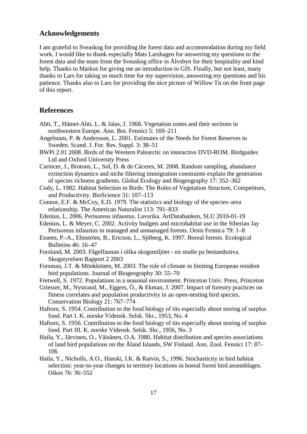#### **Acknowledgements**

I am grateful to Sveaskog for providing the forest data and accommodation during my field work. I would like to thank especially Mats Larshagen for answering my questions to the forest data and the team from the Sveaskog office in Älvsbyn for their hospitality and kind help. Thanks to Markus for giving me an introduction to GIS. Finally, but not least, many thanks to Lars for taking so much time for my supervision, answering my questions and his patience. Thanks also to Lars for providing the nice picture of Willow Tit on the front page of this report.

### **References**

- Ahti, T., Hämet-Ahti, L. & Jalas, J. 1968. Vegetation zones and their sections in northwestern Europe. Ann. Bot. Fennici 5: 169–211
- Angelstam, P. & Andersson, L. 2001. Estimates of the Needs for Forest Reserves in Sweden. Scand. J. For. Res. Suppl. 3: 38–51
- BWPi 2.01 2008. Birds of the Western Palearctic on interactive DVD-ROM. Birdguides Ltd and Oxford University Press
- Carnicer, J., Brotons, L., Sol, D. & de Cáceres, M. 2008. Random sampling, abundance extinction dynamics and niche filtering immigration constraints explain the generation of species richness gradients. Global Ecology and Biogeography 17: 352–362
- Cody, L. 1982. Habitat Selection in Birds: The Roles of Vegetation Structure, Competitors, and Productivity. BioScience 31: 107–113
- Connor, E.F. & McCoy, E.D. 1979. The statistics and biology of the species–area relationship. The American Naturalist 113: 791–833
- Edenius, L. 2006. Perisoreus infaustus. Lavsrika. ArtDatabanken, SLU 2010-01-19
- Edenius, L. & Meyer, C. 2002. Activity budgets and microhabitat use in the Siberian Jay Perisoreus infaustus in managed and unmanaged forests. Ornis Fennica 79: 1–8
- Esseen, P.-A., Ehnström, B., Ericson, L., Sjöberg, K. 1997. Boreal forests. Ecological Bulletins 46: 16–47
- Forslund, M. 2003. Fågelfaunan i olika skogsmiljöer en studie pa bestandsniva. Skogstyrelsen Rapport 2 2003
- Forsman, J.T. & Mönkkönen, M. 2003. The role of climate in limiting European resident bird populations. Journal of Biogeography 30: 55–70
- Fretwell, S. 1972. Populations in a seasonal environment. Princeton Univ. Press, Princeton
- Griesser, M., Nystrand, M., Eggers, Ö., & Ekman, J. 2007. Impact of forestry practices on fitness correlates and population productivity in an open-nesting bird species. Conservation Biology 21: 767–774
- Haftorn, S. 1954. Contribution to the food biology of tits especially about storing of surplus food. Part I. K. norske Vidensk. Selsk. Skr., 1953, No. 4
- Haftorn, S. 1956. Contribution to the food biology of tits especially about storing of surplus food. Part III. K. norske Vidensk. Selsk. Skr., 1956, No. 3
- Haila, Y., Järvinen, O., Väisänen, O.A. 1980. Habitat distribution and species associations of land bird populations on the Åland Islands, SW Finland. Ann. Zool. Fennici 17: 87– 106
- Haila, Y., Nicholls, A.O., Hanski, I.K. & Raivio, S., 1996. Stochasticity in bird habitat selection: year-to-year changes in territory locations in boreal forest bird assemblages. Oikos 76: 36–552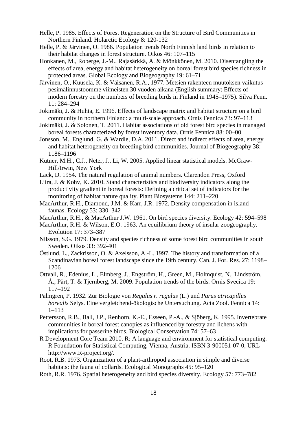- Helle, P. 1985. Effects of Forest Regeneration on the Structure of Bird Communities in Northern Finland. Holarctic Ecology 8: 120-132
- Helle, P. & Järvinen, O. 1986. Population trends North Finnish land birds in relation to their habitat changes in forest structure. Oikos 46: 107–115
- Honkanen, M., Roberge, J.-M., Rajasärkkä, A. & Mönkkönen, M. 2010. Disentangling the effects of area, energy and habitat heterogeneity on boreal forest bird species richness in protected areas. Global Ecology and Biogeography 19: 61–71
- Järvinen, O., Kuusela, K. & Väisänen, R.A., 1977. Metsien rakenteen muutoksen vaikutus pesimälinnustoomme viimeisten 30 vuoden aikana (English summary: Effects of modern forestry on the numbers of breeding birds in Finland in 1945–1975). Silva Fenn. 11: 284–294
- Jokimäki, J. & Huhta, E. 1996. Effects of landscape matrix and habitat structure on a bird community in northern Finland: a multi-scale approach. Ornis Fennica 73: 97–113
- Jokimäki, J. & Solonen, T. 2011. Habitat associations of old forest bird species in managed boreal forests characterized by forest inventory data. Ornis Fennica 88: 00–00
- Jonsson, M., Englund, G. & Wardle, D.A. 2011. Direct and indirect effects of area, energy and habitat heterogeneity on breeding bird communities. Journal of Biogeography 38: 1186–1196
- Kutner, M.H., C.J., Neter, J., Li, W. 2005. Applied linear statistical models. McGraw-Hill/Irwin, New York
- Lack, D. 1954. The natural regulation of animal numbers. Clarendon Press, Oxford
- Liira, J. & Kohv, K. 2010. Stand characteristics and biodiversity indicators along the productivity gradient in boreal forests: Defining a critical set of indicators for the monitoring of habitat nature quality. Plant Biosystems 144: 211–220
- MacArthur, R.H., Diamond, J.M. & Karr, J.R. 1972. Density compensation in island faunas. Ecology 53: 330–342
- MacArthur, R.H., & MacArthur J.W. 1961. On bird species diversity. Ecology 42: 594–598
- MacArthur, R.H. & Wilson, E.O. 1963. An equilibrium theory of insular zoogeography. Evolution 17: 373–387
- Nilsson, S.G. 1979. Density and species richness of some forest bird communities in south Sweden. Oikos 33: 392-401
- Östlund, L., Zackrisson, O. & Axelsson, A.-L. 1997. The history and transformation of a Scandinavian boreal forest landscape since the 19th century. Can. J. For. Res. 27: 1198– 1206
- Ottvall, R., Edenius, L., Elmberg, J., Engström, H., Green, M., Holmquist, N., Lindström, Å., Pärt, T. & Tjernberg, M. 2009. Population trends of the birds. Ornis Svecica 19: 117–192
- Palmgren, P. 1932. Zur Biologie von *Regulus r. regulus* (L.) und *Parus atricapillus borealis* Selys. Eine vergleichend-ökologische Untersuchung. Acta Zool. Fennica 14: 1–113
- Pettersson, R.B., Ball, J.P., Renhorn, K.-E., Esseen, P.-A., & Sjöberg, K. 1995. Invertebrate communities in boreal forest canopies as influenced by forestry and lichens with implications for passerine birds. Biological Conservation 74: 57–63
- R Development Core Team 2010. R: A language and environment for statistical computing. R Foundation for Statistical Computing, Vienna, Austria. ISBN 3-900051-07-0, URL http://www.R-project.org/.
- Root, R.B. 1973. Organization of a plant-arthropod association in simple and diverse habitats: the fauna of collards. Ecological Monographs 45: 95–120
- Roth, R.R. 1976. Spatial heterogeneity and bird species diversity. Ecology 57: 773–782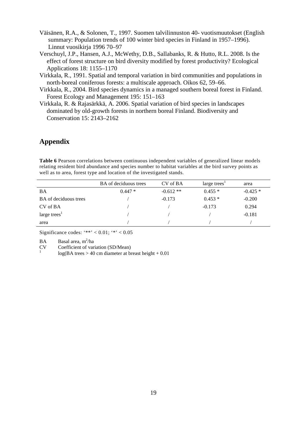- Väisänen, R.A., & Solonen, T., 1997. Suomen talvilinnuston 40- vuotismuutokset (English summary: Population trends of 100 winter bird species in Finland in 1957–1996). Linnut vuosikirja 1996 70–97
- Verschuyl, J.P., Hansen, A.J., McWethy, D.B., Sallabanks, R. & Hutto, R.L. 2008. Is the effect of forest structure on bird diversity modified by forest productivity? Ecological Applications 18: 1155–1170
- Virkkala, R., 1991. Spatial and temporal variation in bird communities and populations in north-boreal coniferous forests: a multiscale approach. Oikos 62, 59–66.
- Virkkala, R., 2004. Bird species dynamics in a managed southern boreal forest in Finland. Forest Ecology and Management 195: 151–163
- Virkkala, R. & Rajasärkkä, A. 2006. Spatial variation of bird species in landscapes dominated by old-growth forests in northern boreal Finland. Biodiversity and Conservation 15: 2143–2162

## **Appendix**

**Table 6** Pearson correlations between continuous independent variables of generalized linear models relating resident bird abundance and species number to habitat variables at the bird survey points as well as to area, forest type and location of the investigated stands.

|                              | <b>BA</b> of deciduous trees | CV of BA   | large trees <sup>1</sup> | area      |
|------------------------------|------------------------------|------------|--------------------------|-----------|
| BA                           | $0.447*$                     | $-0.612**$ | $0.455*$                 | $-0.425*$ |
| <b>BA</b> of deciduous trees |                              | $-0.173$   | $0.453*$                 | $-0.200$  |
| CV of BA                     |                              |            | $-0.173$                 | 0.294     |
| large trees <sup>1</sup>     |                              |            |                          | $-0.181$  |
| area                         |                              |            |                          |           |

Significance codes: '\*\*' <  $0.01$ ; '\*' <  $0.05$ 

 $BA$  Basal area, m<sup>2</sup>/ha

CV Coefficient of variation (SD/Mean) <sup>1</sup>

 $log(BA trees > 40 cm diameter at breast height + 0.01$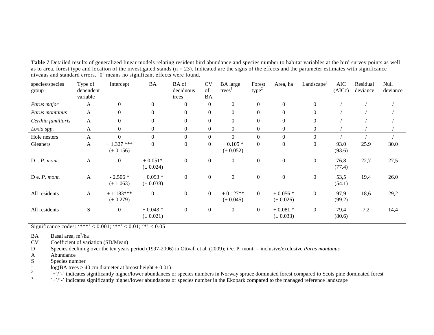| species/species<br>group | Type of<br>dependent<br>variable | Intercept                     | <b>BA</b>                  | BA of<br>deciduous<br>trees | <b>CV</b><br>of<br><b>BA</b> | <b>BA</b> large<br>trees <sup>1</sup> | Forest<br>$type^2$ | Area, ha                   | Landscape <sup>5</sup> | $\rm AIC$<br>(AICc) | Residual<br>deviance | Null<br>deviance |
|--------------------------|----------------------------------|-------------------------------|----------------------------|-----------------------------|------------------------------|---------------------------------------|--------------------|----------------------------|------------------------|---------------------|----------------------|------------------|
| Parus major              | A                                | $\Omega$                      | $\theta$                   | $\Omega$                    | $\Omega$                     | $\Omega$                              | $\theta$           | $\theta$                   | $\Omega$               |                     |                      |                  |
| Parus montanus           | A                                | $\Omega$                      | $\overline{0}$             | $\Omega$                    | $\mathbf{0}$                 | $\boldsymbol{0}$                      | $\Omega$           | $\theta$                   |                        |                     |                      |                  |
| Certhia familiaris       | $\mathbf{A}$                     | $\mathbf{0}$                  | $\boldsymbol{0}$           | $\mathbf{0}$                | $\mathbf{0}$                 | $\boldsymbol{0}$                      | $\mathbf{0}$       | $\boldsymbol{0}$           |                        |                     |                      |                  |
| Loxia spp.               | A                                | $\overline{0}$                | $\boldsymbol{0}$           | $\boldsymbol{0}$            | $\mathbf{0}$                 | $\boldsymbol{0}$                      | $\theta$           | $\boldsymbol{0}$           | $\overline{0}$         |                     |                      |                  |
| Hole nesters             | A                                | $\Omega$                      | $\boldsymbol{0}$           | $\Omega$                    | $\Omega$                     | $\theta$                              | $\theta$           | $\boldsymbol{0}$           |                        |                     |                      |                  |
| Gleaners                 | A                                | $+1.327$ ***<br>$(\pm 0.156)$ | $\overline{0}$             | $\mathbf{0}$                | $\Omega$                     | $+0.105*$<br>$(\pm 0.052)$            | $\Omega$           | $\theta$                   | $\Omega$               | 93.0<br>(93.6)      | 25.9                 | 30.0             |
| $D$ i. $P$ . mont.       | A                                | $\overline{0}$                | $+0.051*$<br>$(\pm 0.024)$ | $\overline{0}$              | $\boldsymbol{0}$             | $\boldsymbol{0}$                      | $\boldsymbol{0}$   | $\boldsymbol{0}$           | $\mathbf{0}$           | 76,8<br>(77.4)      | 22,7                 | 27,5             |
| $D e. P.$ mont.          | A                                | $-2.506*$<br>$(\pm 1.063)$    | $+0.093*$<br>$(\pm 0.038)$ | $\boldsymbol{0}$            | $\theta$                     | $\boldsymbol{0}$                      | $\mathbf{0}$       | $\boldsymbol{0}$           | $\overline{0}$         | 53,5<br>(54.1)      | 19,4                 | 26,0             |
| All residents            | A                                | $+1.183***$<br>$(\pm 0.279)$  | $\boldsymbol{0}$           | $\boldsymbol{0}$            | $\overline{0}$               | $+0.127**$<br>$(\pm 0.045)$           | $\overline{0}$     | $+0.056*$<br>$(\pm 0.026)$ | $\Omega$               | 97,9<br>(99.2)      | 18,6                 | 29,2             |
| All residents            | S                                | $\overline{0}$                | $+0.043*$<br>$(\pm 0.021)$ | $\boldsymbol{0}$            | $\overline{0}$               | $\boldsymbol{0}$                      | $\overline{0}$     | $+0.081*$<br>$(\pm 0.033)$ | $\overline{0}$         | 79,4<br>(80.6)      | 7,2                  | 14,4             |

**Table 7** Detailed results of generalized linear models relating resident bird abundance and species number to habitat variables at the bird survey points as well as to area, forest type and location of the investigated stands  $(n = 23)$ . Indicated are the signs of the effects and the parameter estimates with significance niveaus and standard errors. `0´ means no significant effects were found.

Significance codes: '\*\*\*' < 0.001; '\*\*' < 0.01; '\*' < 0.05

BA Basal area, m<sup>2</sup>/ha

CV Coefficient of variation (SD/Mean)

D Species declining over the ten years period (1997-2006) in Ottvall et al. (2009); i./e. P. mont. = inclusive/exclusive *Parus montanus*

A Abundance<br>S Species num

 $S = \text{Species number}$ <br> $\frac{1}{1}$ 

 $\log(BA \text{ trees} > 40 \text{ cm diameter at breast height} + 0.01)$ <br>2

 $\rightarrow$   $\rightarrow$   $\rightarrow$   $\rightarrow$   $\rightarrow$   $\rightarrow$  indicates significantly higher/lower abundances or species numbers in Norway spruce dominated forest compared to Scots pine dominated forest 3

`+'/`-' indicates significantly higher/lower abundances or species number in the Ekopark compared to the managed reference landscape